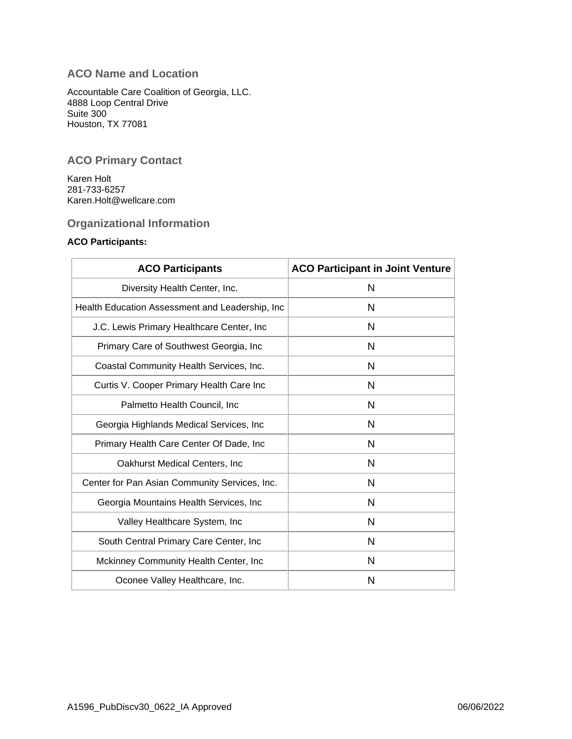# **ACO Name and Location**

Accountable Care Coalition of Georgia, LLC. 4888 Loop Central Drive Suite 300 Houston, TX 77081

## **ACO Primary Contact**

Karen Holt 281-733-6257 Karen.Holt@wellcare.com

## **Organizational Information**

### **ACO Participants:**

| <b>ACO Participants</b>                          | <b>ACO Participant in Joint Venture</b> |
|--------------------------------------------------|-----------------------------------------|
| Diversity Health Center, Inc.                    | N                                       |
| Health Education Assessment and Leadership, Inc. | N                                       |
| J.C. Lewis Primary Healthcare Center, Inc.       | N                                       |
| Primary Care of Southwest Georgia, Inc.          | N                                       |
| Coastal Community Health Services, Inc.          | N                                       |
| Curtis V. Cooper Primary Health Care Inc         | N                                       |
| Palmetto Health Council, Inc.                    | N                                       |
| Georgia Highlands Medical Services, Inc          | N                                       |
| Primary Health Care Center Of Dade, Inc.         | N                                       |
| Oakhurst Medical Centers, Inc.                   | N                                       |
| Center for Pan Asian Community Services, Inc.    | N                                       |
| Georgia Mountains Health Services, Inc.          | N                                       |
| Valley Healthcare System, Inc.                   | N                                       |
| South Central Primary Care Center, Inc.          | N                                       |
| Mckinney Community Health Center, Inc            | N                                       |
| Oconee Valley Healthcare, Inc.                   | N                                       |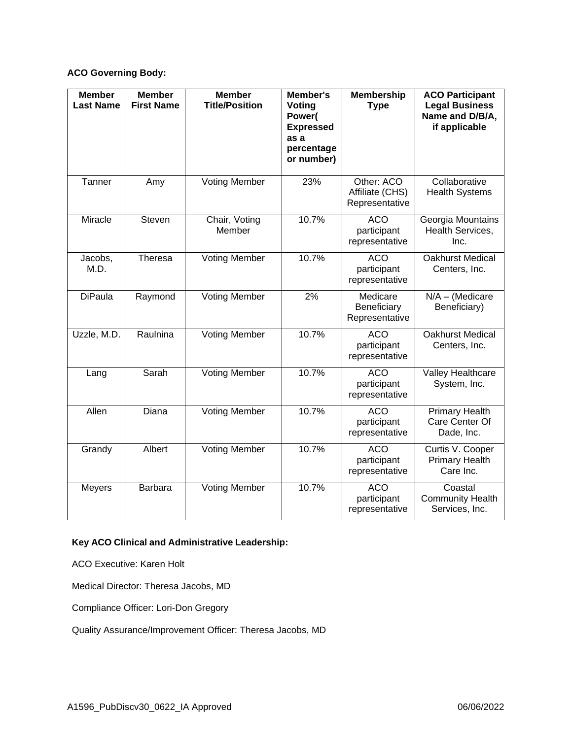## **ACO Governing Body:**

| <b>Member</b><br><b>Last Name</b> | <b>Member</b><br><b>First Name</b> | <b>Member</b><br><b>Title/Position</b> | Member's<br>Voting<br>Power(<br><b>Expressed</b><br>as a<br>percentage<br>or number) | <b>Membership</b><br><b>Type</b>                | <b>ACO Participant</b><br><b>Legal Business</b><br>Name and D/B/A,<br>if applicable |
|-----------------------------------|------------------------------------|----------------------------------------|--------------------------------------------------------------------------------------|-------------------------------------------------|-------------------------------------------------------------------------------------|
| Tanner                            | Amy                                | <b>Voting Member</b>                   | 23%                                                                                  | Other: ACO<br>Affiliate (CHS)<br>Representative | Collaborative<br><b>Health Systems</b>                                              |
| Miracle                           | Steven                             | Chair, Voting<br>Member                | 10.7%                                                                                | <b>ACO</b><br>participant<br>representative     | Georgia Mountains<br>Health Services,<br>Inc.                                       |
| Jacobs,<br>M.D.                   | Theresa                            | <b>Voting Member</b>                   | 10.7%                                                                                | <b>ACO</b><br>participant<br>representative     | <b>Oakhurst Medical</b><br>Centers, Inc.                                            |
| <b>DiPaula</b>                    | Raymond                            | <b>Voting Member</b>                   | 2%                                                                                   | Medicare<br>Beneficiary<br>Representative       | $N/A - (Medicare$<br>Beneficiary)                                                   |
| Uzzle, M.D.                       | Raulnina                           | <b>Voting Member</b>                   | 10.7%                                                                                | <b>ACO</b><br>participant<br>representative     | <b>Oakhurst Medical</b><br>Centers, Inc.                                            |
| Lang                              | Sarah                              | <b>Voting Member</b>                   | 10.7%                                                                                | <b>ACO</b><br>participant<br>representative     | Valley Healthcare<br>System, Inc.                                                   |
| Allen                             | Diana                              | <b>Voting Member</b>                   | 10.7%                                                                                | <b>ACO</b><br>participant<br>representative     | <b>Primary Health</b><br>Care Center Of<br>Dade, Inc.                               |
| Grandy                            | Albert                             | <b>Voting Member</b>                   | 10.7%                                                                                | <b>ACO</b><br>participant<br>representative     | Curtis V. Cooper<br><b>Primary Health</b><br>Care Inc.                              |
| <b>Meyers</b>                     | <b>Barbara</b>                     | <b>Voting Member</b>                   | 10.7%                                                                                | <b>ACO</b><br>participant<br>representative     | Coastal<br><b>Community Health</b><br>Services, Inc.                                |

## **Key ACO Clinical and Administrative Leadership:**

ACO Executive: Karen Holt

Medical Director: Theresa Jacobs, MD

Compliance Officer: Lori-Don Gregory

Quality Assurance/Improvement Officer: Theresa Jacobs, MD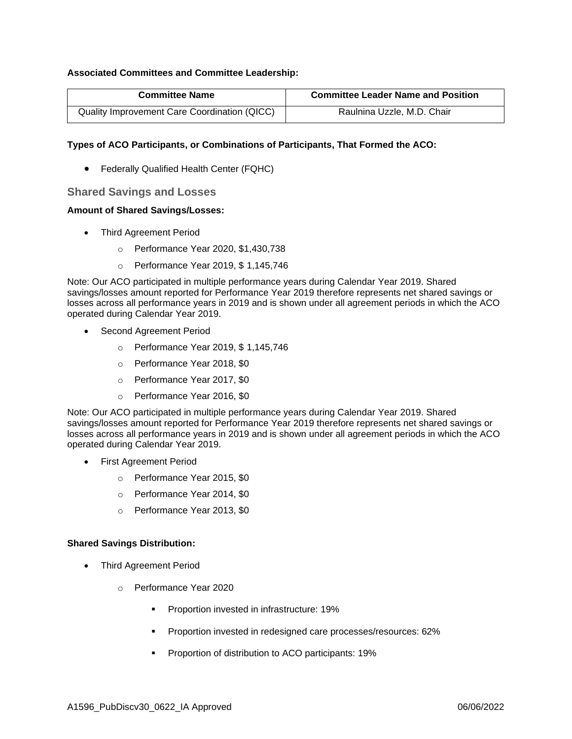#### **Associated Committees and Committee Leadership:**

| <b>Committee Name</b>                        | <b>Committee Leader Name and Position</b> |  |
|----------------------------------------------|-------------------------------------------|--|
| Quality Improvement Care Coordination (QICC) | Raulnina Uzzle, M.D. Chair                |  |

#### **Types of ACO Participants, or Combinations of Participants, That Formed the ACO:**

• Federally Qualified Health Center (FQHC)

#### **Shared Savings and Losses**

#### **Amount of Shared Savings/Losses:**

- Third Agreement Period
	- o Performance Year 2020, \$1,430,738
	- o Performance Year 2019, \$ 1,145,746

Note: Our ACO participated in multiple performance years during Calendar Year 2019. Shared savings/losses amount reported for Performance Year 2019 therefore represents net shared savings or losses across all performance years in 2019 and is shown under all agreement periods in which the ACO operated during Calendar Year 2019.

- Second Agreement Period
	- o Performance Year 2019, \$ 1,145,746
	- o Performance Year 2018, \$0
	- o Performance Year 2017, \$0
	- o Performance Year 2016, \$0

Note: Our ACO participated in multiple performance years during Calendar Year 2019. Shared savings/losses amount reported for Performance Year 2019 therefore represents net shared savings or losses across all performance years in 2019 and is shown under all agreement periods in which the ACO operated during Calendar Year 2019.

- First Agreement Period
	- o Performance Year 2015, \$0
	- o Performance Year 2014, \$0
	- o Performance Year 2013, \$0

#### **Shared Savings Distribution:**

- Third Agreement Period
	- o Performance Year 2020
		- Proportion invested in infrastructure: 19%
		- **•** Proportion invested in redesigned care processes/resources: 62%
		- Proportion of distribution to ACO participants: 19%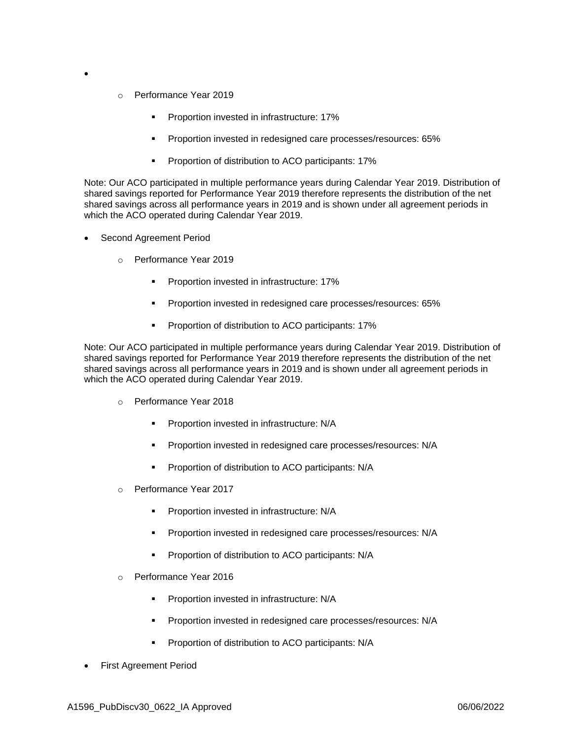- o Performance Year 2019
	- Proportion invested in infrastructure: 17%
	- Proportion invested in redesigned care processes/resources: 65%
	- Proportion of distribution to ACO participants: 17%

Note: Our ACO participated in multiple performance years during Calendar Year 2019. Distribution of shared savings reported for Performance Year 2019 therefore represents the distribution of the net shared savings across all performance years in 2019 and is shown under all agreement periods in which the ACO operated during Calendar Year 2019.

Second Agreement Period

•

- o Performance Year 2019
	- Proportion invested in infrastructure: 17%
	- Proportion invested in redesigned care processes/resources: 65%
	- Proportion of distribution to ACO participants: 17%

Note: Our ACO participated in multiple performance years during Calendar Year 2019. Distribution of shared savings reported for Performance Year 2019 therefore represents the distribution of the net shared savings across all performance years in 2019 and is shown under all agreement periods in which the ACO operated during Calendar Year 2019.

- o Performance Year 2018
	- Proportion invested in infrastructure: N/A
	- Proportion invested in redesigned care processes/resources: N/A
	- Proportion of distribution to ACO participants: N/A
- o Performance Year 2017
	- Proportion invested in infrastructure: N/A
	- Proportion invested in redesigned care processes/resources: N/A
	- Proportion of distribution to ACO participants: N/A
- o Performance Year 2016
	- Proportion invested in infrastructure: N/A
	- Proportion invested in redesigned care processes/resources: N/A
	- Proportion of distribution to ACO participants: N/A
- First Agreement Period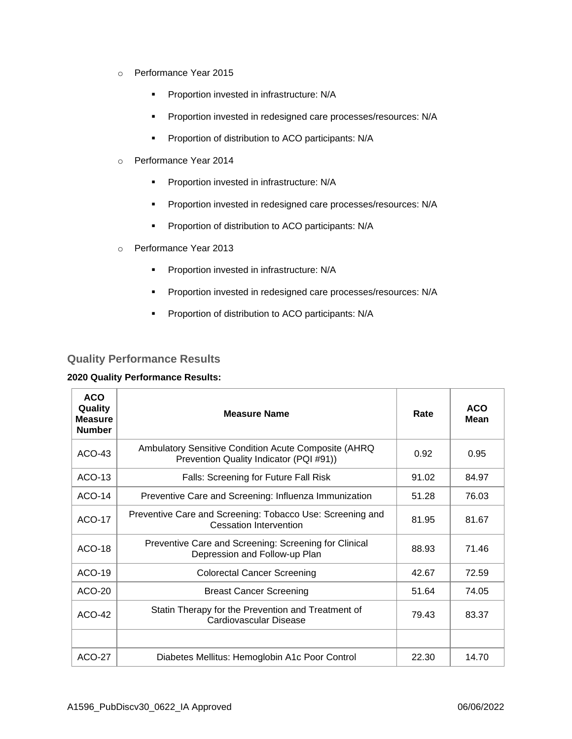- o Performance Year 2015
	- **•** Proportion invested in infrastructure: N/A
	- Proportion invested in redesigned care processes/resources: N/A
	- **•** Proportion of distribution to ACO participants: N/A
- o Performance Year 2014
	- **•** Proportion invested in infrastructure: N/A
	- Proportion invested in redesigned care processes/resources: N/A
	- **•** Proportion of distribution to ACO participants: N/A
- o Performance Year 2013
	- **•** Proportion invested in infrastructure: N/A
	- Proportion invested in redesigned care processes/resources: N/A
	- **•** Proportion of distribution to ACO participants: N/A

### **Quality Performance Results**

#### **2020 Quality Performance Results:**

| <b>ACO</b><br>Quality<br><b>Measure</b><br><b>Number</b> | <b>Measure Name</b>                                                                             | Rate  | <b>ACO</b><br>Mean |
|----------------------------------------------------------|-------------------------------------------------------------------------------------------------|-------|--------------------|
| $ACO-43$                                                 | Ambulatory Sensitive Condition Acute Composite (AHRQ<br>Prevention Quality Indicator (PQI #91)) | 0.92  | 0.95               |
| ACO-13                                                   | Falls: Screening for Future Fall Risk                                                           | 91.02 | 84.97              |
| <b>ACO-14</b>                                            | Preventive Care and Screening: Influenza Immunization                                           | 51.28 | 76.03              |
| <b>ACO-17</b>                                            | Preventive Care and Screening: Tobacco Use: Screening and<br><b>Cessation Intervention</b>      | 81.95 | 81.67              |
| ACO-18                                                   | Preventive Care and Screening: Screening for Clinical<br>Depression and Follow-up Plan          | 88.93 | 71.46              |
| $ACO-19$                                                 | <b>Colorectal Cancer Screening</b>                                                              | 42.67 | 72.59              |
| ACO-20                                                   | <b>Breast Cancer Screening</b>                                                                  | 51.64 | 74.05              |
| <b>ACO-42</b>                                            | Statin Therapy for the Prevention and Treatment of<br>Cardiovascular Disease                    | 79.43 | 83.37              |
|                                                          |                                                                                                 |       |                    |
| <b>ACO-27</b>                                            | Diabetes Mellitus: Hemoglobin A1c Poor Control                                                  | 22.30 | 14.70              |